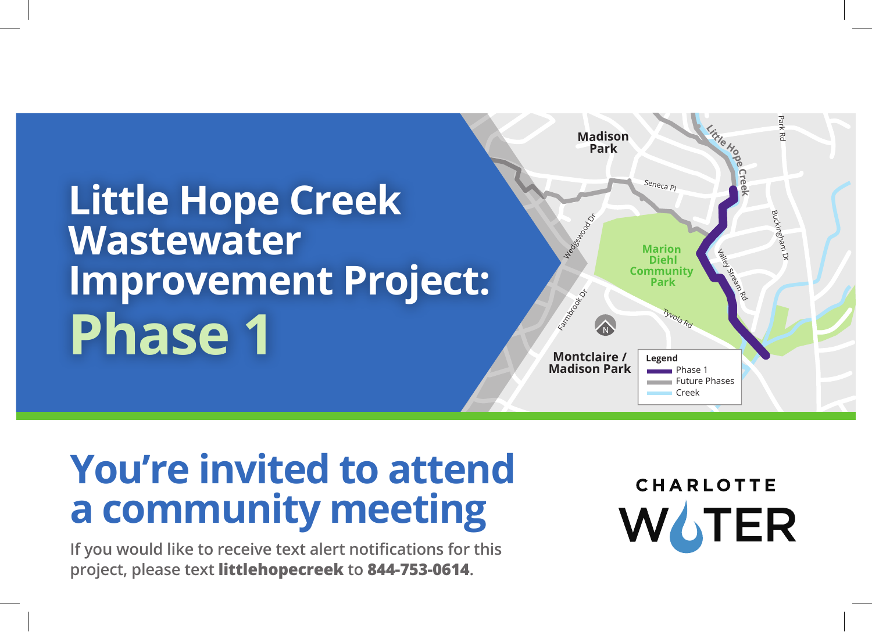# **Little Hope Creek Wastewater Improvement Project: Phase 1**



## **You're invited to attend a community meeting**

**If you would like to receive text alert notifications for this project, please text littlehopecreek to 844-753-0614.** 

**CHARLOTTE**